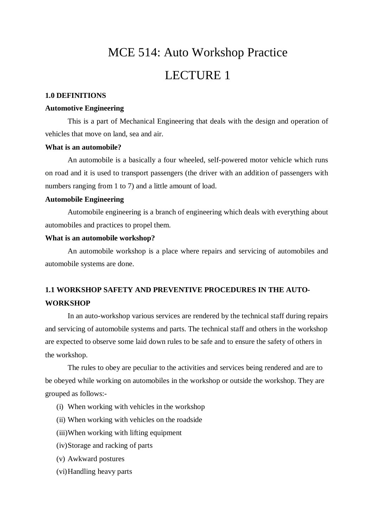# MCE 514: Auto Workshop Practice LECTURE 1

#### **1.0 DEFINITIONS**

#### **Automotive Engineering**

This is a part of Mechanical Engineering that deals with the design and operation of vehicles that move on land, sea and air.

#### **What is an automobile?**

An automobile is a basically a four wheeled, self-powered motor vehicle which runs on road and it is used to transport passengers (the driver with an addition of passengers with numbers ranging from 1 to 7) and a little amount of load.

#### **Automobile Engineering**

Automobile engineering is a branch of engineering which deals with everything about automobiles and practices to propel them.

#### **What is an automobile workshop?**

An automobile workshop is a place where repairs and servicing of automobiles and automobile systems are done.

## **1.1 WORKSHOP SAFETY AND PREVENTIVE PROCEDURES IN THE AUTO-WORKSHOP**

In an auto-workshop various services are rendered by the technical staff during repairs and servicing of automobile systems and parts. The technical staff and others in the workshop are expected to observe some laid down rules to be safe and to ensure the safety of others in the workshop.

The rules to obey are peculiar to the activities and services being rendered and are to be obeyed while working on automobiles in the workshop or outside the workshop. They are grouped as follows:-

- (i) When working with vehicles in the workshop
- (ii) When working with vehicles on the roadside
- (iii)When working with lifting equipment
- (iv)Storage and racking of parts
- (v) Awkward postures
- (vi)Handling heavy parts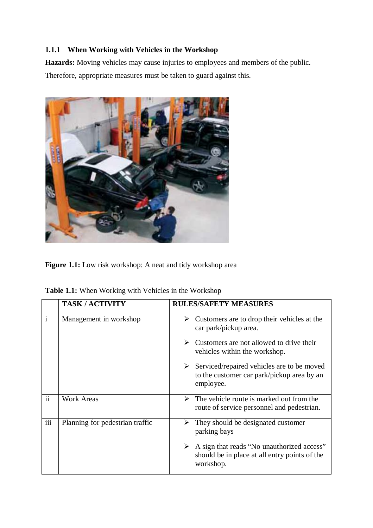## **1.1.1 When Working with Vehicles in the Workshop**

**Hazards:** Moving vehicles may cause injuries to employees and members of the public. Therefore, appropriate measures must be taken to guard against this.



Figure 1.1: Low risk workshop: A neat and tidy workshop area

| Table 1.1: When Working with Vehicles in the Workshop |  |  |  |  |  |  |  |
|-------------------------------------------------------|--|--|--|--|--|--|--|
|-------------------------------------------------------|--|--|--|--|--|--|--|

|              | <b>TASK/ACTIVITY</b>            | <b>RULES/SAFETY MEASURES</b>                                                                                              |
|--------------|---------------------------------|---------------------------------------------------------------------------------------------------------------------------|
| $\mathbf{i}$ | Management in workshop          | Customers are to drop their vehicles at the<br>➤<br>car park/pickup area.                                                 |
|              |                                 | Customers are not allowed to drive their<br>➤<br>vehicles within the workshop.                                            |
|              |                                 | $\triangleright$ Serviced/repaired vehicles are to be moved<br>to the customer car park/pickup area by an<br>employee.    |
| ii           | <b>Work Areas</b>               | The vehicle route is marked out from the<br>➤<br>route of service personnel and pedestrian.                               |
| iii          | Planning for pedestrian traffic | They should be designated customer<br>➤<br>parking bays                                                                   |
|              |                                 | $\triangleright$ A sign that reads "No unauthorized access"<br>should be in place at all entry points of the<br>workshop. |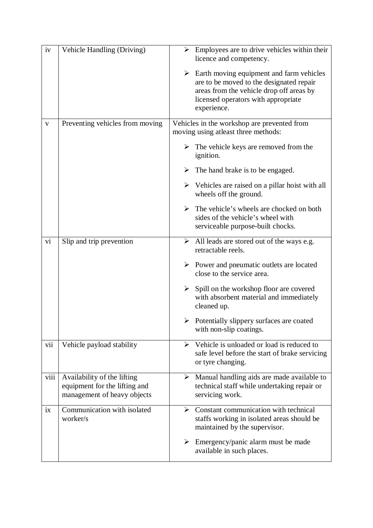| iv   | Vehicle Handling (Driving)                                                                  | $\triangleright$ Employees are to drive vehicles within their<br>licence and competency.                                                                                                                |
|------|---------------------------------------------------------------------------------------------|---------------------------------------------------------------------------------------------------------------------------------------------------------------------------------------------------------|
|      |                                                                                             | $\triangleright$ Earth moving equipment and farm vehicles<br>are to be moved to the designated repair<br>areas from the vehicle drop off areas by<br>licensed operators with appropriate<br>experience. |
| V    | Preventing vehicles from moving                                                             | Vehicles in the workshop are prevented from<br>moving using atleast three methods:                                                                                                                      |
|      |                                                                                             | $\triangleright$ The vehicle keys are removed from the<br>ignition.                                                                                                                                     |
|      |                                                                                             | $\triangleright$ The hand brake is to be engaged.                                                                                                                                                       |
|      |                                                                                             | $\triangleright$ Vehicles are raised on a pillar hoist with all<br>wheels off the ground.                                                                                                               |
|      |                                                                                             | $\triangleright$ The vehicle's wheels are chocked on both<br>sides of the vehicle's wheel with<br>serviceable purpose-built chocks.                                                                     |
| vi   | Slip and trip prevention                                                                    | $\triangleright$ All leads are stored out of the ways e.g.<br>retractable reels.                                                                                                                        |
|      |                                                                                             | $\triangleright$ Power and pneumatic outlets are located<br>close to the service area.                                                                                                                  |
|      |                                                                                             | Spill on the workshop floor are covered<br>$\blacktriangleright$<br>with absorbent material and immediately<br>cleaned up.                                                                              |
|      |                                                                                             | $\triangleright$ Potentially slippery surfaces are coated<br>with non-slip coatings.                                                                                                                    |
| vii  | Vehicle payload stability                                                                   | $\triangleright$ Vehicle is unloaded or load is reduced to<br>safe level before the start of brake servicing<br>or tyre changing.                                                                       |
| viii | Availability of the lifting<br>equipment for the lifting and<br>management of heavy objects | Manual handling aids are made available to<br>≻<br>technical staff while undertaking repair or<br>servicing work.                                                                                       |
| ix   | Communication with isolated<br>worker/s                                                     | Constant communication with technical<br>≻<br>staffs working in isolated areas should be<br>maintained by the supervisor.                                                                               |
|      |                                                                                             | $\triangleright$ Emergency/panic alarm must be made<br>available in such places.                                                                                                                        |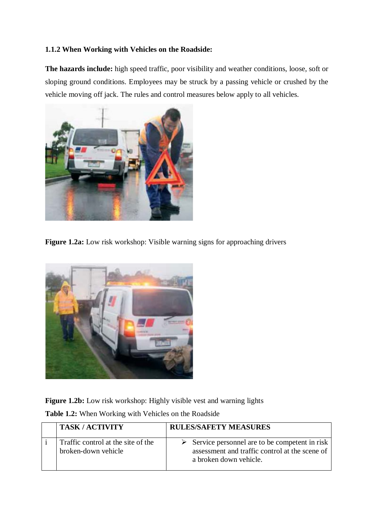### **1.1.2 When Working with Vehicles on the Roadside:**

**The hazards include:** high speed traffic, poor visibility and weather conditions, loose, soft or sloping ground conditions. Employees may be struck by a passing vehicle or crushed by the vehicle moving off jack. The rules and control measures below apply to all vehicles.



**Figure 1.2a:** Low risk workshop: Visible warning signs for approaching drivers



Figure 1.2b: Low risk workshop: Highly visible vest and warning lights

**Table 1.2:** When Working with Vehicles on the Roadside

| <b>TASK/ACTIVITY</b>                                      | <b>RULES/SAFETY MEASURES</b>                                                                                                               |
|-----------------------------------------------------------|--------------------------------------------------------------------------------------------------------------------------------------------|
| Traffic control at the site of the<br>broken-down vehicle | $\triangleright$ Service personnel are to be competent in risk<br>assessment and traffic control at the scene of<br>a broken down vehicle. |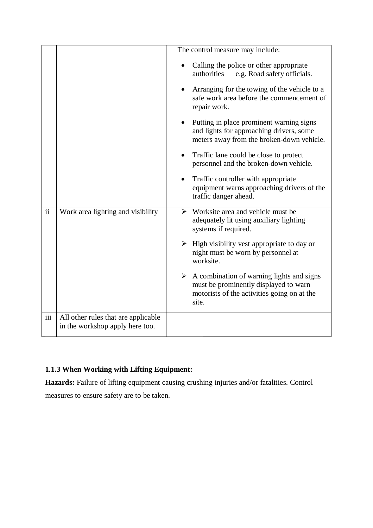|                     |                                                                        | The control measure may include:                                                                                                                                                   |  |
|---------------------|------------------------------------------------------------------------|------------------------------------------------------------------------------------------------------------------------------------------------------------------------------------|--|
|                     |                                                                        | Calling the police or other appropriate<br>e.g. Road safety officials.<br>authorities<br>Arranging for the towing of the vehicle to a<br>safe work area before the commencement of |  |
|                     |                                                                        | repair work.<br>Putting in place prominent warning signs<br>and lights for approaching drivers, some<br>meters away from the broken-down vehicle.                                  |  |
|                     |                                                                        | Traffic lane could be close to protect<br>$\bullet$<br>personnel and the broken-down vehicle.                                                                                      |  |
|                     |                                                                        | Traffic controller with appropriate<br>$\bullet$<br>equipment warns approaching drivers of the<br>traffic danger ahead.                                                            |  |
| $\ddot{\mathbf{i}}$ | Work area lighting and visibility                                      | $\triangleright$ Worksite area and vehicle must be<br>adequately lit using auxiliary lighting<br>systems if required.                                                              |  |
|                     |                                                                        | $\triangleright$ High visibility vest appropriate to day or<br>night must be worn by personnel at<br>worksite.                                                                     |  |
|                     |                                                                        | $\triangleright$ A combination of warning lights and signs<br>must be prominently displayed to warn<br>motorists of the activities going on at the<br>site.                        |  |
| $\overline{iii}$    | All other rules that are applicable<br>in the workshop apply here too. |                                                                                                                                                                                    |  |

# **1.1.3 When Working with Lifting Equipment:**

**Hazards:** Failure of lifting equipment causing crushing injuries and/or fatalities. Control measures to ensure safety are to be taken.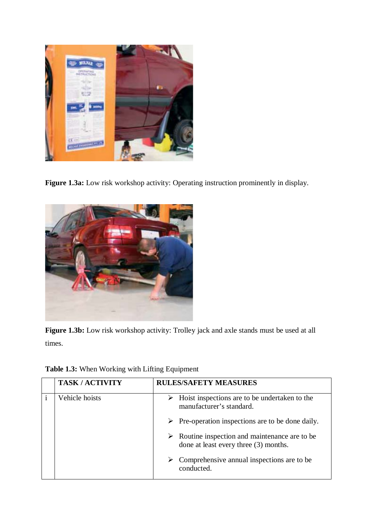

Figure 1.3a: Low risk workshop activity: Operating instruction prominently in display.



**Figure 1.3b:** Low risk workshop activity: Trolley jack and axle stands must be used at all times.

| <b>Table 1.3:</b> When Working with Lifting Equipment |  |  |  |  |  |
|-------------------------------------------------------|--|--|--|--|--|
|-------------------------------------------------------|--|--|--|--|--|

| <b>TASK/ACTIVITY</b> | <b>RULES/SAFETY MEASURES</b>                                                                           |
|----------------------|--------------------------------------------------------------------------------------------------------|
| Vehicle hoists       | $\triangleright$ Hoist inspections are to be undertaken to the<br>manufacturer's standard.             |
|                      | $\triangleright$ Pre-operation inspections are to be done daily.                                       |
|                      | $\triangleright$ Routine inspection and maintenance are to be<br>done at least every three (3) months. |
|                      | Comprehensive annual inspections are to be.<br>➤<br>conducted.                                         |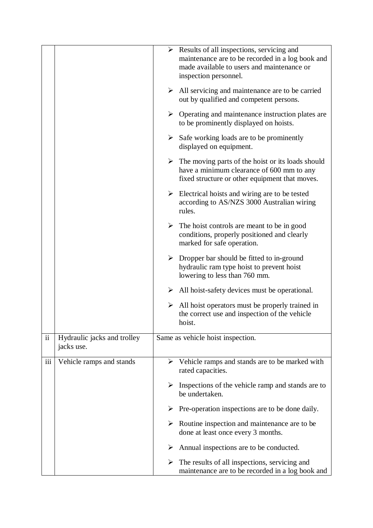|               |                                           |   | $\triangleright$ Results of all inspections, servicing and<br>maintenance are to be recorded in a log book and<br>made available to users and maintenance or<br>inspection personnel. |
|---------------|-------------------------------------------|---|---------------------------------------------------------------------------------------------------------------------------------------------------------------------------------------|
|               |                                           |   | $\triangleright$ All servicing and maintenance are to be carried<br>out by qualified and competent persons.                                                                           |
|               |                                           |   | $\triangleright$ Operating and maintenance instruction plates are<br>to be prominently displayed on hoists.                                                                           |
|               |                                           |   | $\triangleright$ Safe working loads are to be prominently<br>displayed on equipment.                                                                                                  |
|               |                                           |   | $\triangleright$ The moving parts of the hoist or its loads should<br>have a minimum clearance of 600 mm to any<br>fixed structure or other equipment that moves.                     |
|               |                                           |   | $\triangleright$ Electrical hoists and wiring are to be tested<br>according to AS/NZS 3000 Australian wiring<br>rules.                                                                |
|               |                                           |   | $\triangleright$ The hoist controls are meant to be in good<br>conditions, properly positioned and clearly<br>marked for safe operation.                                              |
|               |                                           |   | $\triangleright$ Dropper bar should be fitted to in-ground<br>hydraulic ram type hoist to prevent hoist<br>lowering to less than 760 mm.                                              |
|               |                                           |   | $\triangleright$ All hoist-safety devices must be operational.                                                                                                                        |
|               |                                           | ≻ | All hoist operators must be properly trained in<br>the correct use and inspection of the vehicle<br>hoist.                                                                            |
| $\mathbf{ii}$ | Hydraulic jacks and trolley<br>jacks use. |   | Same as vehicle hoist inspection.                                                                                                                                                     |
| iii           | Vehicle ramps and stands                  |   | $\triangleright$ Vehicle ramps and stands are to be marked with<br>rated capacities.                                                                                                  |
|               |                                           |   | $\triangleright$ Inspections of the vehicle ramp and stands are to<br>be undertaken.                                                                                                  |
|               |                                           |   | $\triangleright$ Pre-operation inspections are to be done daily.                                                                                                                      |
|               |                                           |   | $\triangleright$ Routine inspection and maintenance are to be<br>done at least once every 3 months.                                                                                   |
|               |                                           |   | $\triangleright$ Annual inspections are to be conducted.                                                                                                                              |
|               |                                           | ➤ | The results of all inspections, servicing and<br>maintenance are to be recorded in a log book and                                                                                     |